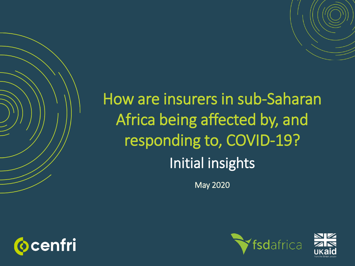# How are insurers in sub-Saharan Africa being affected by, and responding to, COVID-19? Initial insights

May 2020





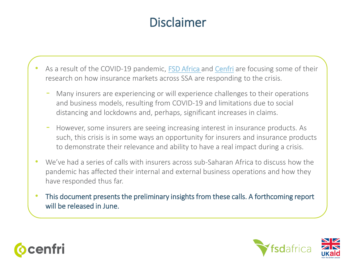## Disclaimer

- As a result of the COVID-19 pandemic, [FSD Africa](https://www.fsdafrica.org/) and [Cenfri](https://cenfri.org/) are focusing some of their research on how insurance markets across SSA are responding to the crisis.
	- Many insurers are experiencing or will experience challenges to their operations and business models, resulting from COVID-19 and limitations due to social distancing and lockdowns and, perhaps, significant increases in claims.
	- However, some insurers are seeing increasing interest in insurance products. As such, this crisis is in some ways an opportunity for insurers and insurance products to demonstrate their relevance and ability to have a real impact during a crisis.
- We've had a series of calls with insurers across sub-Saharan Africa to discuss how the pandemic has affected their internal and external business operations and how they have responded thus far.
- This document presents the preliminary insights from these calls. A forthcoming report will be released in June.



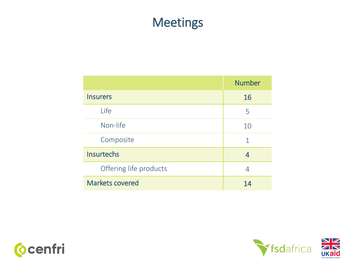#### Meetings

|                        | <b>Number</b> |
|------------------------|---------------|
| <b>Insurers</b>        | 16            |
| Life                   | 5             |
| Non-life               | 10            |
| Composite              | 1             |
| <b>Insurtechs</b>      | 4             |
| Offering life products | 4             |
| <b>Markets covered</b> | 14            |



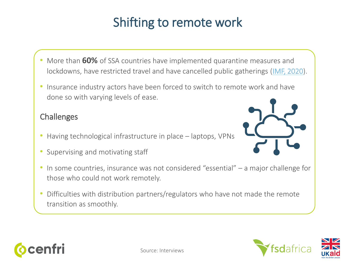## Shifting to remote work

- More than **60%** of SSA countries have implemented quarantine measures and lockdowns, have restricted travel and have cancelled public gatherings ([IMF, 2020\)](https://www.imf.org/en/News/Articles/2020/04/13/na0413202-six-charts-show-how-covid-19-is-an-unprecedented-threat-to).
- Insurance industry actors have been forced to switch to remote work and have done so with varying levels of ease.

#### Challenges

- Having technological infrastructure in place laptops, VPNs
- Supervising and motivating staff
- In some countries, insurance was not considered "essential" a major challenge for those who could not work remotely.
- Difficulties with distribution partners/regulators who have not made the remote transition as smoothly.





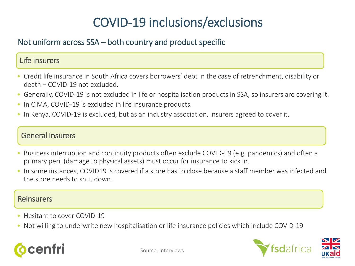## COVID-19 inclusions/exclusions

#### Not uniform across SSA – both country and product specific

#### Life insurers

- Credit life insurance in South Africa covers borrowers' debt in the case of retrenchment, disability or death – COVID-19 not excluded.
- Generally, COVID-19 is not excluded in life or hospitalisation products in SSA, so insurers are covering it.
- In CIMA, COVID-19 is excluded in life insurance products.
- In Kenya, COVID-19 is excluded, but as an industry association, insurers agreed to cover it.

#### General insurers

- Business interruption and continuity products often exclude COVID-19 (e.g. pandemics) and often a primary peril (damage to physical assets) must occur for insurance to kick in.
- In some instances, COVID19 is covered if a store has to close because a staff member was infected and the store needs to shut down.

#### Reinsurers

- Hesitant to cover COVID-19
- Not willing to underwrite new hospitalisation or life insurance policies which include COVID-19



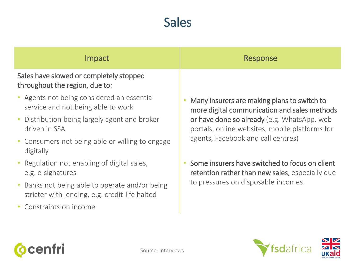#### Sales

| Impact                                                                                         | Response                                                                                                                                                                                                                           |
|------------------------------------------------------------------------------------------------|------------------------------------------------------------------------------------------------------------------------------------------------------------------------------------------------------------------------------------|
| Sales have slowed or completely stopped<br>throughout the region, due to:                      |                                                                                                                                                                                                                                    |
| • Agents not being considered an essential<br>service and not being able to work               | Many insurers are making plans to switch to<br>more digital communication and sales methods<br>or have done so already (e.g. WhatsApp, web<br>portals, online websites, mobile platforms for<br>agents, Facebook and call centres) |
| Distribution being largely agent and broker<br>driven in SSA                                   |                                                                                                                                                                                                                                    |
| • Consumers not being able or willing to engage<br>digitally                                   |                                                                                                                                                                                                                                    |
| • Regulation not enabling of digital sales,<br>e.g. e-signatures                               | Some insurers have switched to focus on client<br>retention rather than new sales, especially due<br>to pressures on disposable incomes.                                                                                           |
| Banks not being able to operate and/or being<br>stricter with lending, e.g. credit-life halted |                                                                                                                                                                                                                                    |
| Constraints on income                                                                          |                                                                                                                                                                                                                                    |





**Ocenfri**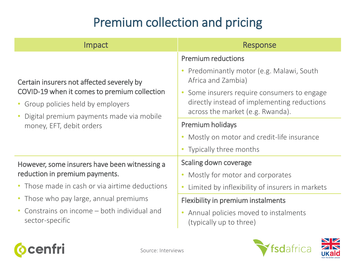## Premium collection and pricing

| <b>Impact</b>                                                                                                                                                                                           | Response                                                                                                                     |
|---------------------------------------------------------------------------------------------------------------------------------------------------------------------------------------------------------|------------------------------------------------------------------------------------------------------------------------------|
| Certain insurers not affected severely by<br>COVID-19 when it comes to premium collection<br>• Group policies held by employers<br>Digital premium payments made via mobile<br>money, EFT, debit orders | <b>Premium reductions</b><br>Predominantly motor (e.g. Malawi, South<br>Africa and Zambia)                                   |
|                                                                                                                                                                                                         | Some insurers require consumers to engage<br>directly instead of implementing reductions<br>across the market (e.g. Rwanda). |
|                                                                                                                                                                                                         | <b>Premium holidays</b>                                                                                                      |
|                                                                                                                                                                                                         | Mostly on motor and credit-life insurance                                                                                    |
|                                                                                                                                                                                                         | Typically three months                                                                                                       |
| However, some insurers have been witnessing a<br>reduction in premium payments.                                                                                                                         | Scaling down coverage                                                                                                        |
|                                                                                                                                                                                                         | Mostly for motor and corporates                                                                                              |
| • Those made in cash or via airtime deductions                                                                                                                                                          | Limited by inflexibility of insurers in markets<br>$\bullet$                                                                 |
| • Those who pay large, annual premiums                                                                                                                                                                  | Flexibility in premium instalments                                                                                           |
| Constrains on income – both individual and<br>sector-specific                                                                                                                                           | Annual policies moved to instalments<br>(typically up to three)                                                              |



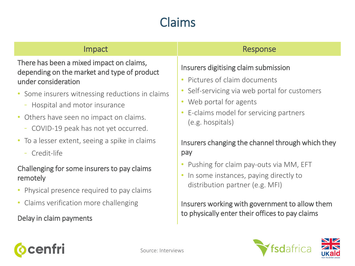## Claims

| Impact                                                                                                         | Response                                                                                                                                     |
|----------------------------------------------------------------------------------------------------------------|----------------------------------------------------------------------------------------------------------------------------------------------|
| There has been a mixed impact on claims,<br>depending on the market and type of product<br>under consideration | Insurers digitising claim submission<br>• Pictures of claim documents                                                                        |
| • Some insurers witnessing reductions in claims<br>- Hospital and motor insurance                              | Self-servicing via web portal for customers<br>• Web portal for agents<br>E-claims model for servicing partners<br>(e.g. hospitals)          |
| • Others have seen no impact on claims.<br>- COVID-19 peak has not yet occurred.                               |                                                                                                                                              |
| • To a lesser extent, seeing a spike in claims                                                                 | Insurers changing the channel through which they                                                                                             |
| Credit-life                                                                                                    | pay                                                                                                                                          |
| Challenging for some insurers to pay claims<br>remotely                                                        | Pushing for claim pay-outs via MM, EFT<br>$\bullet$<br>In some instances, paying directly to<br>$\bullet$<br>distribution partner (e.g. MFI) |
| Physical presence required to pay claims                                                                       |                                                                                                                                              |
| • Claims verification more challenging                                                                         | Insurers working with government to allow them                                                                                               |
| Delay in claim payments                                                                                        | to physically enter their offices to pay claims                                                                                              |
|                                                                                                                |                                                                                                                                              |





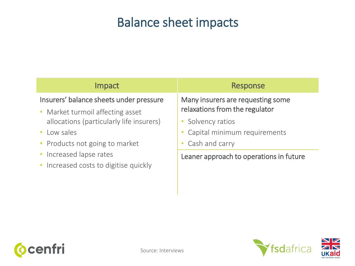#### Balance sheet impacts

| <b>Impact</b>                                                    | Response                                |
|------------------------------------------------------------------|-----------------------------------------|
| Insurers' balance sheets under pressure                          | Many insurers are requesting some       |
| • Market turmoil affecting asset                                 | relaxations from the regulator          |
| allocations (particularly life insurers)                         | • Solvency ratios                       |
| Low sales                                                        | Capital minimum requirements            |
| • Products not going to market                                   | Cash and carry                          |
| • Increased lapse rates<br>• Increased costs to digitise quickly | Leaner approach to operations in future |



**Ocenfri** 

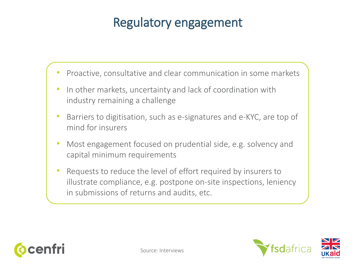### Regulatory engagement

- Proactive, consultative and clear communication in some markets
- In other markets, uncertainty and lack of coordination with industry remaining a challenge
- Barriers to digitisation, such as e-signatures and e-KYC, are top of mind for insurers
- Most engagement focused on prudential side, e.g. solvency and capital minimum requirements
- Requests to reduce the level of effort required by insurers to illustrate compliance, e.g. postpone on-site inspections, leniency in submissions of returns and audits, etc.



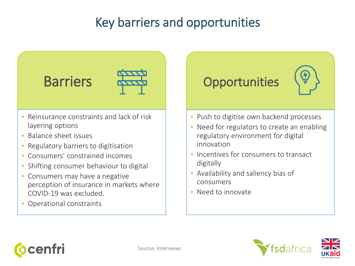## Key barriers and opportunities





- Reinsurance constraints and lack of risk layering options
- Balance sheet issues
- Regulatory barriers to digitisation
- Consumers' constrained incomes
- Shifting consumer behaviour to digital
- Consumers may have a negative perception of insurance in markets where COVID-19 was excluded.
- Operational constraints

## **Opportunities**



- Push to digitise own backend processes
- Need for regulators to create an enabling regulatory environment for digital innovation
- Incentives for consumers to transact digitally
- Availability and saliency bias of consumers
- Need to innovate